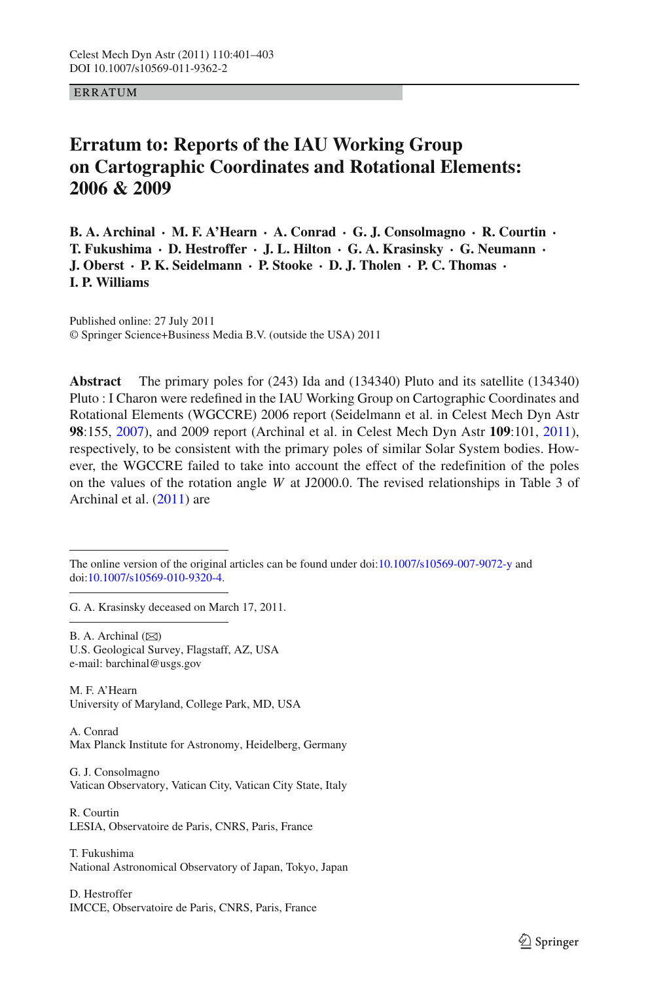**ERRATUM** 

## **Erratum to: Reports of the IAU Working Group on Cartographic Coordinates and Rotational Elements: 2006 & 2009**

**B. A. Archinal · M. F. A'Hearn · A. Conrad · G. J. Consolmagno · R. Courtin · T. Fukushima · D. Hestroffer · J. L. Hilton · G. A. Krasinsky · G. Neumann · J. Oberst · P. K. Seidelmann · P. Stooke · D. J. Tholen · P. C. Thomas · I. P. Williams**

Published online: 27 July 2011 © Springer Science+Business Media B.V. (outside the USA) 2011

**Abstract** The primary poles for (243) Ida and (134340) Pluto and its satellite (134340) Pluto : I Charon were redefined in the IAU Working Group on Cartographic Coordinates and Rotational Elements (WGCCRE) 2006 report (Seidelmann et al. in Celest Mech Dyn Astr **98**:155, [2007\)](#page-2-0), and 2009 report (Archinal et al. in Celest Mech Dyn Astr **109**:101, [2011\)](#page-2-1), respectively, to be consistent with the primary poles of similar Solar System bodies. However, the WGCCRE failed to take into account the effect of the redefinition of the poles on the values of the rotation angle *W* at J2000.0. The revised relationships in Table 3 of Archinal et al. [\(2011\)](#page-2-1) are

The online version of the original articles can be found under doi[:10.1007/s10569-007-9072-y](http://dx.doi.org/10.1007/s10569-007-9072-y) and doi[:10.1007/s10569-010-9320-4.](http://dx.doi.org/10.1007/s10569-010-9320-4)

G. A. Krasinsky deceased on March 17, 2011.

B. A. Archinal  $(\boxtimes)$ U.S. Geological Survey, Flagstaff, AZ, USA e-mail: barchinal@usgs.gov

M. F. A'Hearn University of Maryland, College Park, MD, USA

A. Conrad Max Planck Institute for Astronomy, Heidelberg, Germany

G. J. Consolmagno Vatican Observatory, Vatican City, Vatican City State, Italy

R. Courtin LESIA, Observatoire de Paris, CNRS, Paris, France

T. Fukushima National Astronomical Observatory of Japan, Tokyo, Japan

D. Hestroffer IMCCE, Observatoire de Paris, CNRS, Paris, France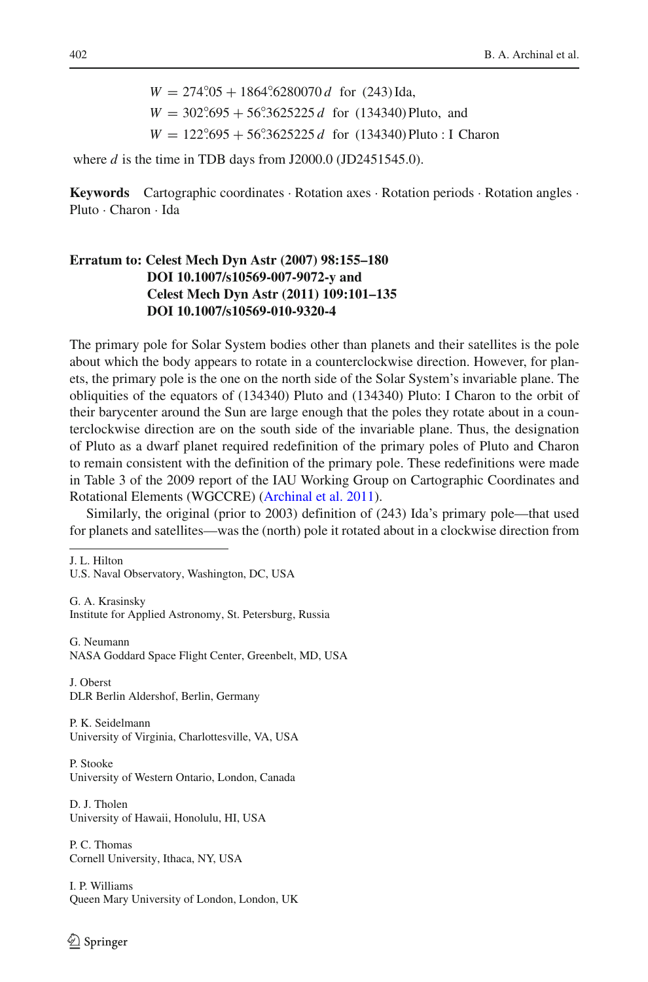$W = 274°05 + 1864°6280070 d$  for (243) Ida,  $W = 302°.695 + 56°.3625225 d$  for (134340) Pluto, and  $W = 122°.695 + 56°.3625225 d$  for  $(134340)$  Pluto : I Charon

where *d* is the time in TDB days from J2000.0 (JD2451545.0).

**Keywords** Cartographic coordinates · Rotation axes · Rotation periods · Rotation angles · Pluto · Charon · Ida

## **Erratum to: Celest Mech Dyn Astr (2007) 98:155–180 DOI 10.1007/s10569-007-9072-y and Celest Mech Dyn Astr (2011) 109:101–135 DOI 10.1007/s10569-010-9320-4**

The primary pole for Solar System bodies other than planets and their satellites is the pole about which the body appears to rotate in a counterclockwise direction. However, for planets, the primary pole is the one on the north side of the Solar System's invariable plane. The obliquities of the equators of (134340) Pluto and (134340) Pluto: I Charon to the orbit of their barycenter around the Sun are large enough that the poles they rotate about in a counterclockwise direction are on the south side of the invariable plane. Thus, the designation of Pluto as a dwarf planet required redefinition of the primary poles of Pluto and Charon to remain consistent with the definition of the primary pole. These redefinitions were made in Table 3 of the 2009 report of the IAU Working Group on Cartographic Coordinates and Rotational Elements (WGCCRE) [\(Archinal et al. 2011](#page-2-1)).

Similarly, the original (prior to 2003) definition of (243) Ida's primary pole—that used for planets and satellites—was the (north) pole it rotated about in a clockwise direction from

J. L. Hilton

U.S. Naval Observatory, Washington, DC, USA

G. A. Krasinsky Institute for Applied Astronomy, St. Petersburg, Russia

G. Neumann NASA Goddard Space Flight Center, Greenbelt, MD, USA

J. Oberst DLR Berlin Aldershof, Berlin, Germany

P. K. Seidelmann University of Virginia, Charlottesville, VA, USA

P. Stooke University of Western Ontario, London, Canada

D. J. Tholen University of Hawaii, Honolulu, HI, USA

P. C. Thomas Cornell University, Ithaca, NY, USA

I. P. Williams Queen Mary University of London, London, UK